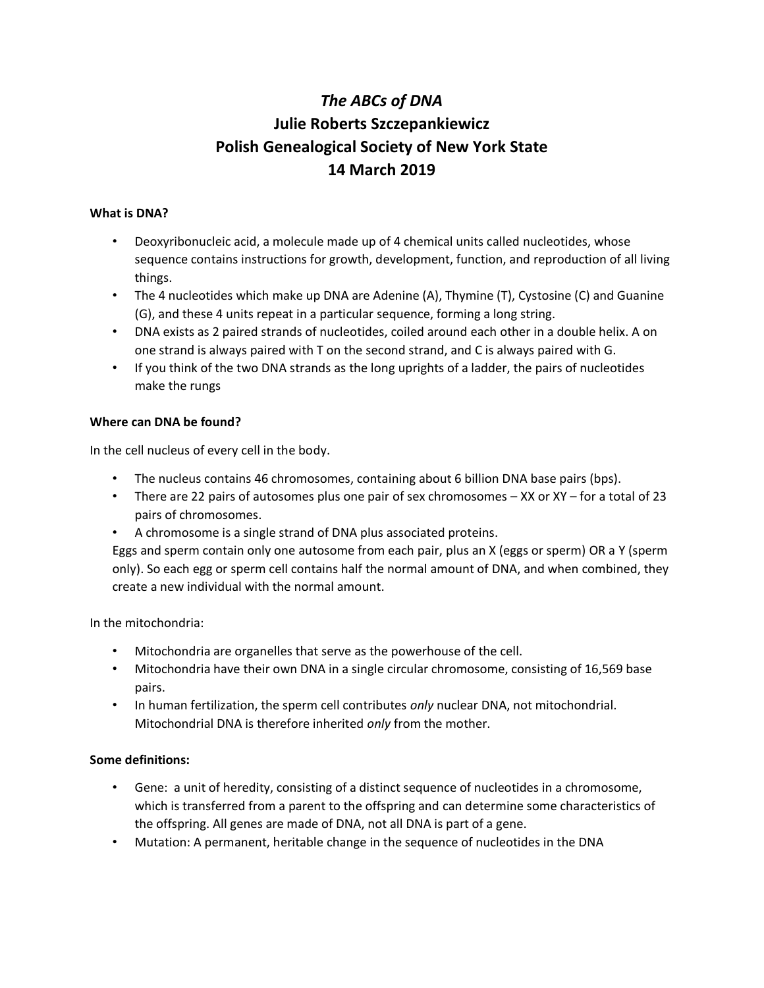# *The ABCs of DNA* **Julie Roberts Szczepankiewicz Polish Genealogical Society of New York State 14 March 2019**

## **What is DNA?**

- Deoxyribonucleic acid, a molecule made up of 4 chemical units called nucleotides, whose sequence contains instructions for growth, development, function, and reproduction of all living things.
- The 4 nucleotides which make up DNA are Adenine (A), Thymine (T), Cystosine (C) and Guanine (G), and these 4 units repeat in a particular sequence, forming a long string.
- DNA exists as 2 paired strands of nucleotides, coiled around each other in a double helix. A on one strand is always paired with T on the second strand, and C is always paired with G.
- If you think of the two DNA strands as the long uprights of a ladder, the pairs of nucleotides make the rungs

#### **Where can DNA be found?**

In the cell nucleus of every cell in the body.

- The nucleus contains 46 chromosomes, containing about 6 billion DNA base pairs (bps).
- There are 22 pairs of autosomes plus one pair of sex chromosomes XX or XY for a total of 23 pairs of chromosomes.
- A chromosome is a single strand of DNA plus associated proteins.

Eggs and sperm contain only one autosome from each pair, plus an X (eggs or sperm) OR a Y (sperm only). So each egg or sperm cell contains half the normal amount of DNA, and when combined, they create a new individual with the normal amount.

In the mitochondria:

- Mitochondria are organelles that serve as the powerhouse of the cell.
- Mitochondria have their own DNA in a single circular chromosome, consisting of 16,569 base pairs.
- In human fertilization, the sperm cell contributes *only* nuclear DNA, not mitochondrial. Mitochondrial DNA is therefore inherited *only* from the mother.

## **Some definitions:**

- Gene: a unit of heredity, consisting of a distinct sequence of nucleotides in a chromosome, which is transferred from a parent to the offspring and can determine some characteristics of the offspring. All genes are made of DNA, not all DNA is part of a gene.
- Mutation: A permanent, heritable change in the sequence of nucleotides in the DNA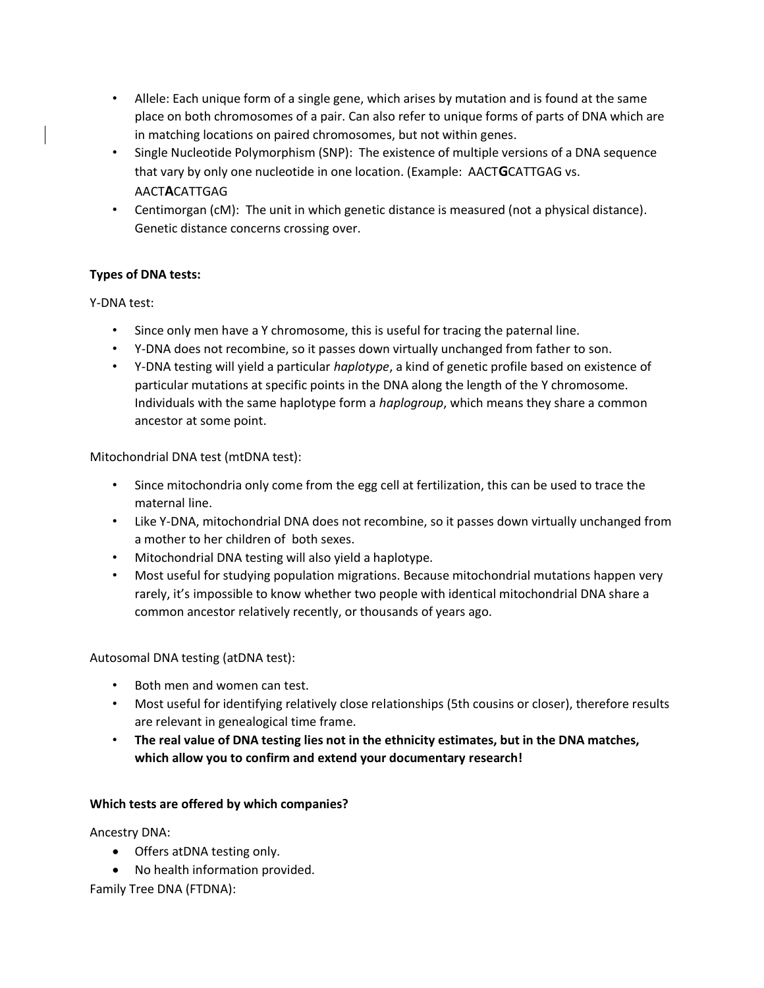- Allele: Each unique form of a single gene, which arises by mutation and is found at the same place on both chromosomes of a pair. Can also refer to unique forms of parts of DNA which are in matching locations on paired chromosomes, but not within genes.
- Single Nucleotide Polymorphism (SNP): The existence of multiple versions of a DNA sequence that vary by only one nucleotide in one location. (Example: AACT**G**CATTGAG vs. AACT**A**CATTGAG
- Centimorgan (cM): The unit in which genetic distance is measured (not a physical distance). Genetic distance concerns crossing over.

# **Types of DNA tests:**

Y-DNA test:

- Since only men have a Y chromosome, this is useful for tracing the paternal line.
- Y-DNA does not recombine, so it passes down virtually unchanged from father to son.
- Y-DNA testing will yield a particular *haplotype*, a kind of genetic profile based on existence of particular mutations at specific points in the DNA along the length of the Y chromosome. Individuals with the same haplotype form a *haplogroup*, which means they share a common ancestor at some point.

Mitochondrial DNA test (mtDNA test):

- Since mitochondria only come from the egg cell at fertilization, this can be used to trace the maternal line.
- Like Y-DNA, mitochondrial DNA does not recombine, so it passes down virtually unchanged from a mother to her children of both sexes.
- Mitochondrial DNA testing will also yield a haplotype.
- Most useful for studying population migrations. Because mitochondrial mutations happen very rarely, it's impossible to know whether two people with identical mitochondrial DNA share a common ancestor relatively recently, or thousands of years ago.

Autosomal DNA testing (atDNA test):

- Both men and women can test.
- Most useful for identifying relatively close relationships (5th cousins or closer), therefore results are relevant in genealogical time frame.
- **The real value of DNA testing lies not in the ethnicity estimates, but in the DNA matches, which allow you to confirm and extend your documentary research!**

## **Which tests are offered by which companies?**

Ancestry DNA:

- Offers atDNA testing only.
- No health information provided.

Family Tree DNA (FTDNA):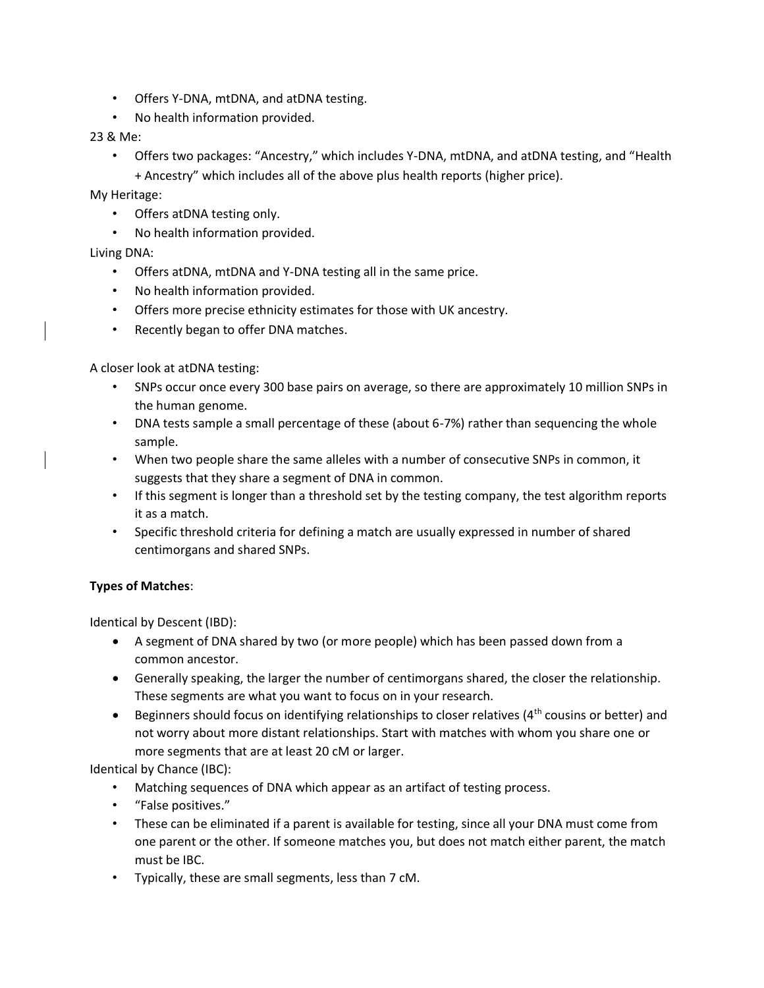- Offers Y-DNA, mtDNA, and atDNA testing.
- No health information provided.

## 23 & Me:

• Offers two packages: "Ancestry," which includes Y-DNA, mtDNA, and atDNA testing, and "Health + Ancestry" which includes all of the above plus health reports (higher price).

My Heritage:

- Offers atDNA testing only.
- No health information provided.

## Living DNA:

- Offers atDNA, mtDNA and Y-DNA testing all in the same price.
- No health information provided.
- Offers more precise ethnicity estimates for those with UK ancestry.
- Recently began to offer DNA matches.

A closer look at atDNA testing:

- SNPs occur once every 300 base pairs on average, so there are approximately 10 million SNPs in the human genome.
- DNA tests sample a small percentage of these (about 6-7%) rather than sequencing the whole sample.
- When two people share the same alleles with a number of consecutive SNPs in common, it suggests that they share a segment of DNA in common.
- If this segment is longer than a threshold set by the testing company, the test algorithm reports it as a match.
- Specific threshold criteria for defining a match are usually expressed in number of shared centimorgans and shared SNPs.

#### **Types of Matches**:

Identical by Descent (IBD):

- A segment of DNA shared by two (or more people) which has been passed down from a common ancestor.
- Generally speaking, the larger the number of centimorgans shared, the closer the relationship. These segments are what you want to focus on in your research.
- Beginners should focus on identifying relationships to closer relatives  $(4^{th}$  cousins or better) and not worry about more distant relationships. Start with matches with whom you share one or more segments that are at least 20 cM or larger.

Identical by Chance (IBC):

- Matching sequences of DNA which appear as an artifact of testing process.
- "False positives."
- These can be eliminated if a parent is available for testing, since all your DNA must come from one parent or the other. If someone matches you, but does not match either parent, the match must be IBC.
- Typically, these are small segments, less than 7 cM.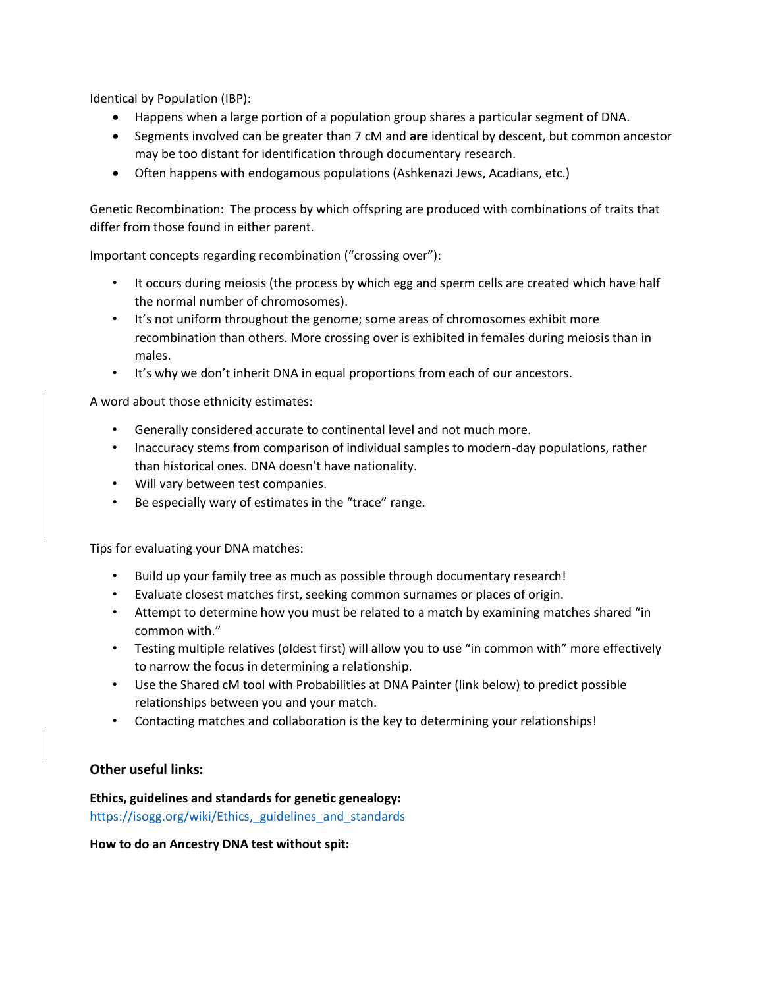Identical by Population (IBP):

- Happens when a large portion of a population group shares a particular segment of DNA.
- Segments involved can be greater than 7 cM and **are** identical by descent, but common ancestor may be too distant for identification through documentary research.
- Often happens with endogamous populations (Ashkenazi Jews, Acadians, etc.)

Genetic Recombination: The process by which offspring are produced with combinations of traits that differ from those found in either parent.

Important concepts regarding recombination ("crossing over"):

- It occurs during meiosis (the process by which egg and sperm cells are created which have half the normal number of chromosomes).
- It's not uniform throughout the genome; some areas of chromosomes exhibit more recombination than others. More crossing over is exhibited in females during meiosis than in males.
- It's why we don't inherit DNA in equal proportions from each of our ancestors.

A word about those ethnicity estimates:

- Generally considered accurate to continental level and not much more.
- Inaccuracy stems from comparison of individual samples to modern-day populations, rather than historical ones. DNA doesn't have nationality.
- Will vary between test companies.
- Be especially wary of estimates in the "trace" range.

Tips for evaluating your DNA matches:

- Build up your family tree as much as possible through documentary research!
- Evaluate closest matches first, seeking common surnames or places of origin.
- Attempt to determine how you must be related to a match by examining matches shared "in common with."
- Testing multiple relatives (oldest first) will allow you to use "in common with" more effectively to narrow the focus in determining a relationship.
- Use the Shared cM tool with Probabilities at DNA Painter (link below) to predict possible relationships between you and your match.
- Contacting matches and collaboration is the key to determining your relationships!

## **Other useful links:**

**Ethics, guidelines and standards for genetic genealogy:**  https://isogg.org/wiki/Ethics, guidelines and standards

**How to do an Ancestry DNA test without spit:**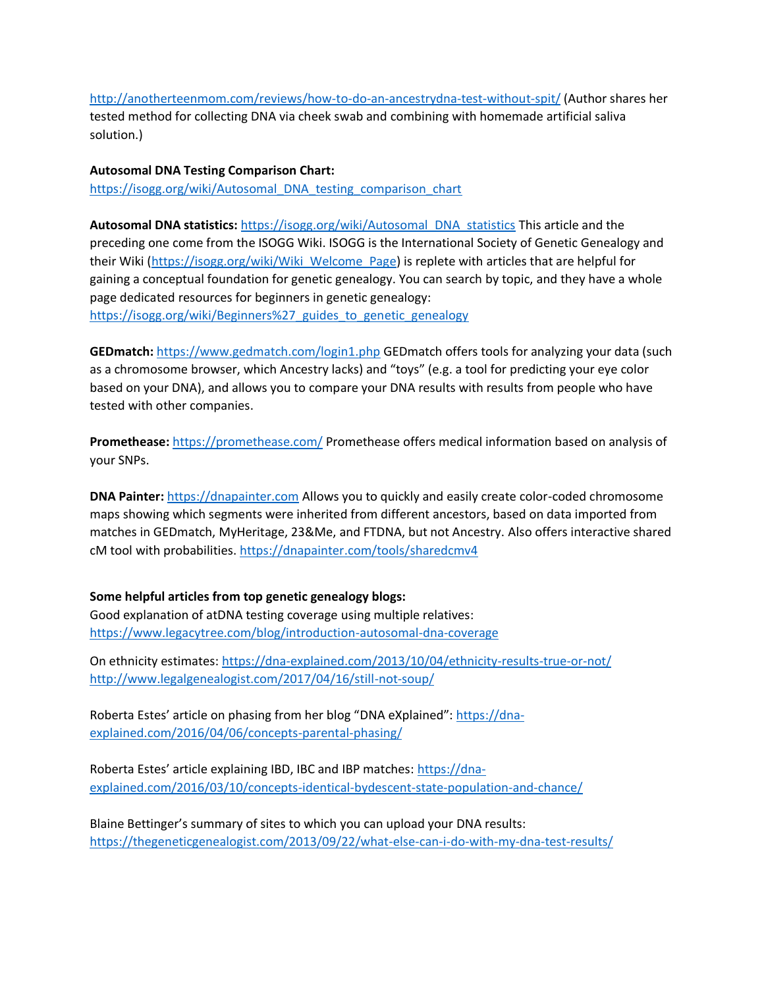<http://anotherteenmom.com/reviews/how-to-do-an-ancestrydna-test-without-spit/> (Author shares her tested method for collecting DNA via cheek swab and combining with homemade artificial saliva solution.)

**Autosomal DNA Testing Comparison Chart:**  [https://isogg.org/wiki/Autosomal\\_DNA\\_testing\\_comparison\\_chart](https://isogg.org/wiki/Autosomal_DNA_testing_comparison_chart)

**Autosomal DNA statistics:** [https://isogg.org/wiki/Autosomal\\_DNA\\_statistics](https://isogg.org/wiki/Autosomal_DNA_statistics) This article and the preceding one come from the ISOGG Wiki. ISOGG is the International Society of Genetic Genealogy and their Wiki [\(https://isogg.org/wiki/Wiki\\_Welcome\\_Page\)](https://isogg.org/wiki/Wiki_Welcome_Page) is replete with articles that are helpful for gaining a conceptual foundation for genetic genealogy. You can search by topic, and they have a whole page dedicated resources for beginners in genetic genealogy:

[https://isogg.org/wiki/Beginners%27\\_guides\\_to\\_genetic\\_genealogy](https://isogg.org/wiki/Beginners%27_guides_to_genetic_genealogy)

**GEDmatch:** <https://www.gedmatch.com/login1.php> GEDmatch offers tools for analyzing your data (such as a chromosome browser, which Ancestry lacks) and "toys" (e.g. a tool for predicting your eye color based on your DNA), and allows you to compare your DNA results with results from people who have tested with other companies.

**Promethease:** <https://promethease.com/> Promethease offers medical information based on analysis of your SNPs.

**DNA Painter:** [https://dnapainter.com](https://dnapainter.com/) Allows you to quickly and easily create color-coded chromosome maps showing which segments were inherited from different ancestors, based on data imported from matches in GEDmatch, MyHeritage, 23&Me, and FTDNA, but not Ancestry. Also offers interactive shared cM tool with probabilities.<https://dnapainter.com/tools/sharedcmv4>

#### **Some helpful articles from top genetic genealogy blogs:**

Good explanation of atDNA testing coverage using multiple relatives: <https://www.legacytree.com/blog/introduction-autosomal-dna-coverage>

On ethnicity estimates:<https://dna-explained.com/2013/10/04/ethnicity-results-true-or-not/> <http://www.legalgenealogist.com/2017/04/16/still-not-soup/>

Roberta Estes' article on phasing from her blog "DNA eXplained": [https://dna](https://dna-explained.com/2016/04/06/concepts-parental-phasing/)[explained.com/2016/04/06/concepts-parental-phasing/](https://dna-explained.com/2016/04/06/concepts-parental-phasing/)

Roberta Estes' article explaining IBD, IBC and IBP matches: [https://dna](https://dna-explained.com/2016/03/10/concepts-identical-bydescent-state-population-and-chance/)[explained.com/2016/03/10/concepts-identical-bydescent-state-population-and-chance/](https://dna-explained.com/2016/03/10/concepts-identical-bydescent-state-population-and-chance/)

Blaine Bettinger's summary of sites to which you can upload your DNA results: <https://thegeneticgenealogist.com/2013/09/22/what-else-can-i-do-with-my-dna-test-results/>